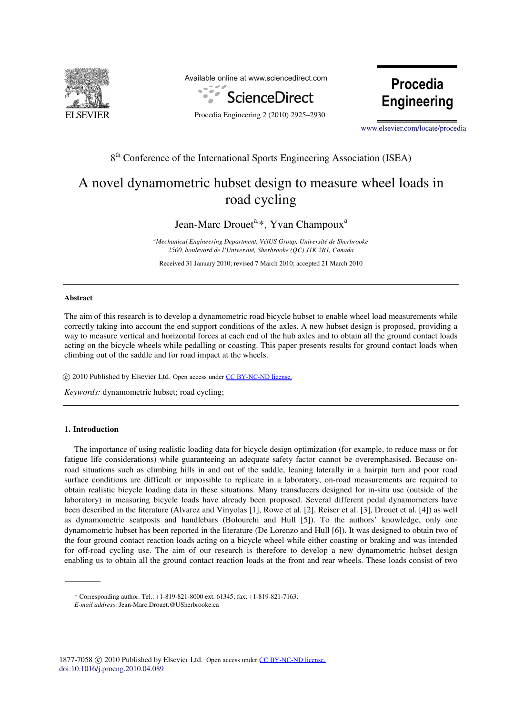

Available online at www.sciencedirect.com



Procedia Engineering 2 (2010) 2925–2930

Procedia **Engineering** 

www.elsevier.com/locate/procedia [www.elsevier.com/locate/procedia](http://www.elsevier.com/locate/procedia)

## 8<sup>th</sup> Conference of the International Sports Engineering Association (ISEA)

# A novel dynamometric hubset design to measure wheel loads in road cycling

## Jean-Marc Drouet<sup>a,\*</sup>, Yvan Champoux<sup>a</sup>

*a Mechanical Engineering Department, VélUS Group, Université de Sherbrooke 2500, boulevard de l'Université, Sherbrooke (QC) J1K 2R1, Canada* 

Received 31 January 2010; revised 7 March 2010; accepted 21 March 2010

#### **Abstract**

The aim of this research is to develop a dynamometric road bicycle hubset to enable wheel load measurements while correctly taking into account the end support conditions of the axles. A new hubset design is proposed, providing a way to measure vertical and horizontal forces at each end of the hub axles and to obtain all the ground contact loads acting on the bicycle wheels while pedalling or coasting. This paper presents results for ground contact loads when climbing out of the saddle and for road impact at the wheels.

 $\circled{c}$  2010 Published by Elsevier Ltd. Open access under [CC BY-NC-ND license.](http://creativecommons.org/licenses/by-nc-nd/3.0/)

*Keywords:* dynamometric hubset; road cycling;

### **1. Introduction**

The importance of using realistic loading data for bicycle design optimization (for example, to reduce mass or for fatigue life considerations) while guaranteeing an adequate safety factor cannot be overemphasised. Because onroad situations such as climbing hills in and out of the saddle, leaning laterally in a hairpin turn and poor road surface conditions are difficult or impossible to replicate in a laboratory, on-road measurements are required to obtain realistic bicycle loading data in these situations. Many transducers designed for in-situ use (outside of the laboratory) in measuring bicycle loads have already been proposed. Several different pedal dynamometers have been described in the literature (Alvarez and Vinyolas [1], Rowe et al. [2], Reiser et al. [3], Drouet et al. [4]) as well as dynamometric seatposts and handlebars (Bolourchi and Hull [5]). To the authors' knowledge, only one dynamometric hubset has been reported in the literature (De Lorenzo and Hull [6]). It was designed to obtain two of the four ground contact reaction loads acting on a bicycle wheel while either coasting or braking and was intended for off-road cycling use. The aim of our research is therefore to develop a new dynamometric hubset design enabling us to obtain all the ground contact reaction loads at the front and rear wheels. These loads consist of two

<sup>\*</sup> Corresponding author. Tel.: +1-819-821-8000 ext. 61345; fax: +1-819-821-7163.

*E-mail address*: Jean-Marc.Drouet.@USherbrooke.ca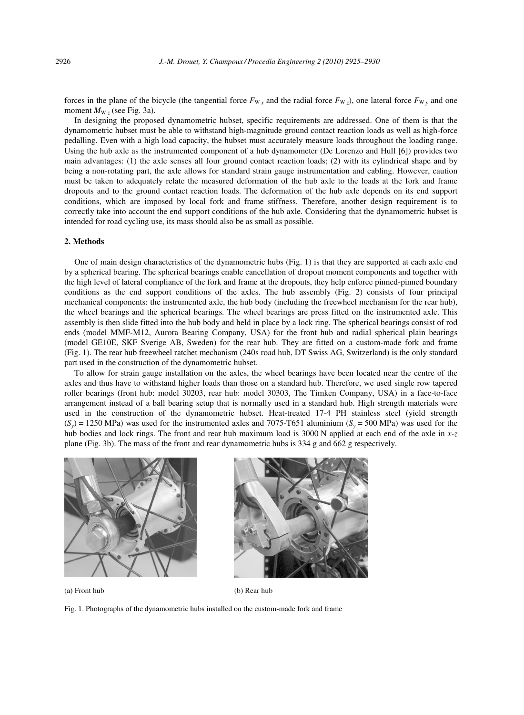forces in the plane of the bicycle (the tangential force  $F_{Wx}$  and the radial force  $F_{Wz}$ ), one lateral force  $F_{Wy}$  and one moment  $M_{\rm W}$ <sub>z</sub> (see Fig. 3a).

In designing the proposed dynamometric hubset, specific requirements are addressed. One of them is that the dynamometric hubset must be able to withstand high-magnitude ground contact reaction loads as well as high-force pedalling. Even with a high load capacity, the hubset must accurately measure loads throughout the loading range. Using the hub axle as the instrumented component of a hub dynamometer (De Lorenzo and Hull [6]) provides two main advantages: (1) the axle senses all four ground contact reaction loads; (2) with its cylindrical shape and by being a non-rotating part, the axle allows for standard strain gauge instrumentation and cabling. However, caution must be taken to adequately relate the measured deformation of the hub axle to the loads at the fork and frame dropouts and to the ground contact reaction loads. The deformation of the hub axle depends on its end support conditions, which are imposed by local fork and frame stiffness. Therefore, another design requirement is to correctly take into account the end support conditions of the hub axle. Considering that the dynamometric hubset is intended for road cycling use, its mass should also be as small as possible.

#### **2. Methods**

One of main design characteristics of the dynamometric hubs (Fig. 1) is that they are supported at each axle end by a spherical bearing. The spherical bearings enable cancellation of dropout moment components and together with the high level of lateral compliance of the fork and frame at the dropouts, they help enforce pinned-pinned boundary conditions as the end support conditions of the axles. The hub assembly (Fig. 2) consists of four principal mechanical components: the instrumented axle, the hub body (including the freewheel mechanism for the rear hub), the wheel bearings and the spherical bearings. The wheel bearings are press fitted on the instrumented axle. This assembly is then slide fitted into the hub body and held in place by a lock ring. The spherical bearings consist of rod ends (model MMF-M12, Aurora Bearing Company, USA) for the front hub and radial spherical plain bearings (model GE10E, SKF Sverige AB, Sweden) for the rear hub. They are fitted on a custom-made fork and frame (Fig. 1). The rear hub freewheel ratchet mechanism (240s road hub, DT Swiss AG, Switzerland) is the only standard part used in the construction of the dynamometric hubset.

To allow for strain gauge installation on the axles, the wheel bearings have been located near the centre of the axles and thus have to withstand higher loads than those on a standard hub. Therefore, we used single row tapered roller bearings (front hub: model 30203, rear hub: model 30303, The Timken Company, USA) in a face-to-face arrangement instead of a ball bearing setup that is normally used in a standard hub. High strength materials were used in the construction of the dynamometric hubset. Heat-treated 17-4 PH stainless steel (yield strength  $(S_y) = 1250 \text{ MPa}$ ) was used for the instrumented axles and 7075-T651 aluminium  $(S_y = 500 \text{ MPa})$  was used for the hub bodies and lock rings. The front and rear hub maximum load is 3000 N applied at each end of the axle in *x-z* plane (Fig. 3b). The mass of the front and rear dynamometric hubs is 334 g and 662 g respectively.



(a) Front hub (b) Rear hub

Fig. 1. Photographs of the dynamometric hubs installed on the custom-made fork and frame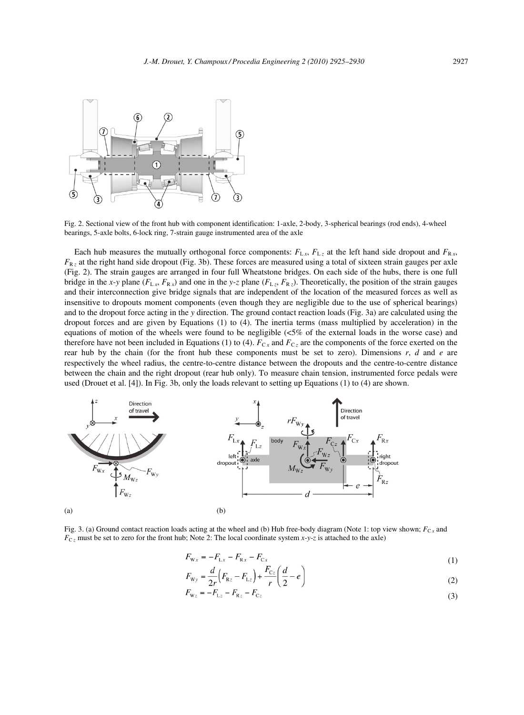

Fig. 2. Sectional view of the front hub with component identification: 1-axle, 2-body, 3-spherical bearings (rod ends), 4-wheel bearings, 5-axle bolts, 6-lock ring, 7-strain gauge instrumented area of the axle

Each hub measures the mutually orthogonal force components:  $F_{Lx}$ ,  $F_{Lz}$  at the left hand side dropout and  $F_{Rx}$ ,  $F_{Rz}$  at the right hand side dropout (Fig. 3b). These forces are measured using a total of sixteen strain gauges per axle (Fig. 2). The strain gauges are arranged in four full Wheatstone bridges. On each side of the hubs, there is one full bridge in the *x*-*y* plane ( $F_{L}$  *x*,  $F_{R}$  *x*) and one in the *y*-*z* plane ( $F_{L}$  *x*,  $F_{R}$  *x*). Theoretically, the position of the strain gauges and their interconnection give bridge signals that are independent of the location of the measured forces as well as insensitive to dropouts moment components (even though they are negligible due to the use of spherical bearings) and to the dropout force acting in the *y* direction. The ground contact reaction loads (Fig. 3a) are calculated using the dropout forces and are given by Equations (1) to (4). The inertia terms (mass multiplied by acceleration) in the equations of motion of the wheels were found to be negligible (<5% of the external loads in the worse case) and therefore have not been included in Equations (1) to (4).  $F_{C_x}$  and  $F_{C_z}$  are the components of the force exerted on the rear hub by the chain (for the front hub these components must be set to zero). Dimensions *r*, *d* and *e* are respectively the wheel radius, the centre-to-centre distance between the dropouts and the centre-to-centre distance between the chain and the right dropout (rear hub only). To measure chain tension, instrumented force pedals were used (Drouet et al. [4]). In Fig. 3b, only the loads relevant to setting up Equations (1) to (4) are shown.



Fig. 3. (a) Ground contact reaction loads acting at the wheel and (b) Hub free-body diagram (Note 1: top view shown;  $F_{Cx}$  and  $F_{C_z}$  must be set to zero for the front hub; Note 2: The local coordinate system *x*-*y*-*z* is attached to the axle)

$$
F_{\text{W}x} = -F_{\text{L}x} - F_{\text{R}x} - F_{\text{C}x}
$$
\n(1)

$$
F_{\rm{Wy}} = \frac{d}{2r} \Big( F_{\rm{Rz}} - F_{\rm{Lz}} \Big) + \frac{F_{\rm{Cz}}}{r} \Big( \frac{d}{2} - e \Big)
$$
  
\n
$$
F_{\rm{Wz}} = -F_{\rm{Lz}} - F_{\rm{Rz}} - F_{\rm{Cz}}
$$
 (2)

$$
V_{Wz} = -F_{Lz} - F_{Rz} - F_{Cz}
$$
\n(3)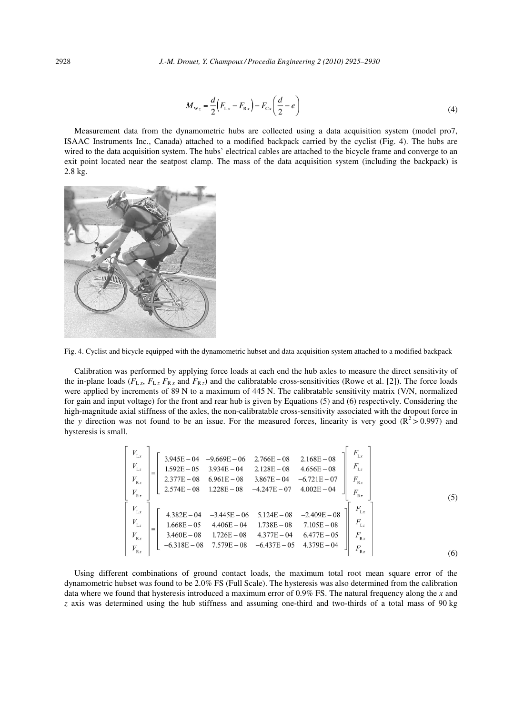$$
M_{\text{w}_z} = \frac{d}{2} \Big( F_{\text{L}x} - F_{\text{Rx}} \Big) - F_{\text{Cx}} \Big( \frac{d}{2} - e \Big) \tag{4}
$$

Measurement data from the dynamometric hubs are collected using a data acquisition system (model pro7, ISAAC Instruments Inc., Canada) attached to a modified backpack carried by the cyclist (Fig. 4). The hubs are wired to the data acquisition system. The hubs' electrical cables are attached to the bicycle frame and converge to an exit point located near the seatpost clamp. The mass of the data acquisition system (including the backpack) is 2.8 kg.



Fig. 4. Cyclist and bicycle equipped with the dynamometric hubset and data acquisition system attached to a modified backpack

Calibration was performed by applying force loads at each end the hub axles to measure the direct sensitivity of the in-plane loads  $(F_{Lx}, F_{Lz}, F_{Rx}$  and  $F_{Rz}$ ) and the calibratable cross-sensitivities (Rowe et al. [2]). The force loads were applied by increments of 89 N to a maximum of 445 N. The calibratable sensitivity matrix (V/N, normalized for gain and input voltage) for the front and rear hub is given by Equations (5) and (6) respectively. Considering the high-magnitude axial stiffness of the axles, the non-calibratable cross-sensitivity associated with the dropout force in the *y* direction was not found to be an issue. For the measured forces, linearity is very good  $(R^2 > 0.997)$  and hysteresis is small.

$$
\begin{bmatrix}\nV_{Lx} \\
V_{Lz} \\
V_{Rz} \\
V_{Rz}\n\end{bmatrix} =\n\begin{bmatrix}\n3.945E - 04 & -9.669E - 06 & 2.766E - 08 & 2.168E - 08 \\
1.592E - 05 & 3.934E - 04 & 2.128E - 08 & 4.656E - 08 \\
2.377E - 08 & 6.961E - 08 & 3.867E - 04 & -6.721E - 07 \\
2.574E - 08 & 1.228E - 08 & -4.247E - 07 & 4.002E - 04\n\end{bmatrix}\n\begin{bmatrix}\nF_{Lx} \\
F_{Lz} \\
F_{Rx} \\
F_{Rz}\n\end{bmatrix}
$$
\n
$$
\begin{bmatrix}\nV_{Lx} \\
V_{Lz} \\
V_{Lz} \\
V_{Rz}\n\end{bmatrix} =\n\begin{bmatrix}\n4.382E - 04 & -3.445E - 06 & 5.124E - 08 & -2.409E - 08 \\
1.668E - 05 & 4.406E - 04 & 1.738E - 08 & 7.105E - 08 \\
3.460E - 08 & 1.726E - 08 & 4.377E - 04 & 6.477E - 05 \\
V_{Rx} \\
V_{Rz}\n\end{bmatrix} =\n\begin{bmatrix}\nF_{Lx} \\
F_{Lz} \\
F_{Rz} \\
F_{Rz}\n\end{bmatrix}
$$
\n
$$
\begin{bmatrix}\nF_{Lx} \\
F_{Lz} \\
F_{Rz} \\
F_{Rz}\n\end{bmatrix}
$$
\n
$$
(6)
$$

Using different combinations of ground contact loads, the maximum total root mean square error of the dynamometric hubset was found to be 2.0% FS (Full Scale). The hysteresis was also determined from the calibration data where we found that hysteresis introduced a maximum error of 0.9% FS. The natural frequency along the *x* and *z* axis was determined using the hub stiffness and assuming one-third and two-thirds of a total mass of 90 kg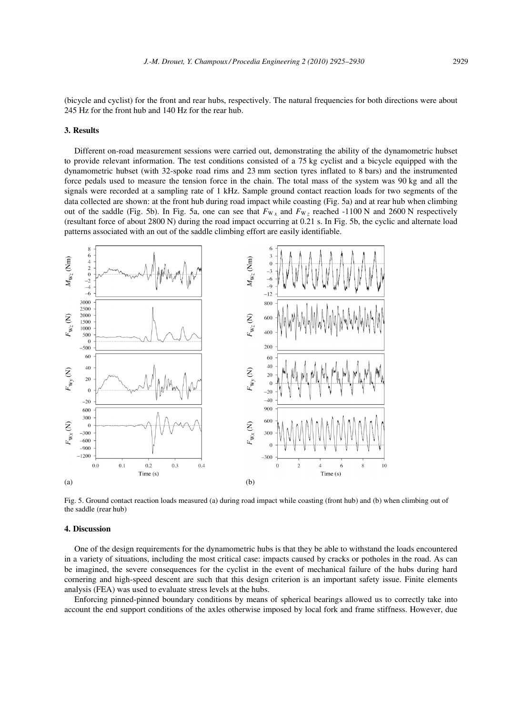(bicycle and cyclist) for the front and rear hubs, respectively. The natural frequencies for both directions were about 245 Hz for the front hub and 140 Hz for the rear hub.

#### **3. Results**

Different on-road measurement sessions were carried out, demonstrating the ability of the dynamometric hubset to provide relevant information. The test conditions consisted of a 75 kg cyclist and a bicycle equipped with the dynamometric hubset (with 32-spoke road rims and 23 mm section tyres inflated to 8 bars) and the instrumented force pedals used to measure the tension force in the chain. The total mass of the system was 90 kg and all the signals were recorded at a sampling rate of 1 kHz. Sample ground contact reaction loads for two segments of the data collected are shown: at the front hub during road impact while coasting (Fig. 5a) and at rear hub when climbing out of the saddle (Fig. 5b). In Fig. 5a, one can see that  $F_{W}$ <sub>x</sub> and  $F_{W}$ <sub>z</sub> reached -1100 N and 2600 N respectively (resultant force of about 2800 N) during the road impact occurring at 0.21 s. In Fig. 5b, the cyclic and alternate load patterns associated with an out of the saddle climbing effort are easily identifiable.



Fig. 5. Ground contact reaction loads measured (a) during road impact while coasting (front hub) and (b) when climbing out of the saddle (rear hub)

#### **4. Discussion**

One of the design requirements for the dynamometric hubs is that they be able to withstand the loads encountered in a variety of situations, including the most critical case: impacts caused by cracks or potholes in the road. As can be imagined, the severe consequences for the cyclist in the event of mechanical failure of the hubs during hard cornering and high-speed descent are such that this design criterion is an important safety issue. Finite elements analysis (FEA) was used to evaluate stress levels at the hubs.

Enforcing pinned-pinned boundary conditions by means of spherical bearings allowed us to correctly take into account the end support conditions of the axles otherwise imposed by local fork and frame stiffness. However, due